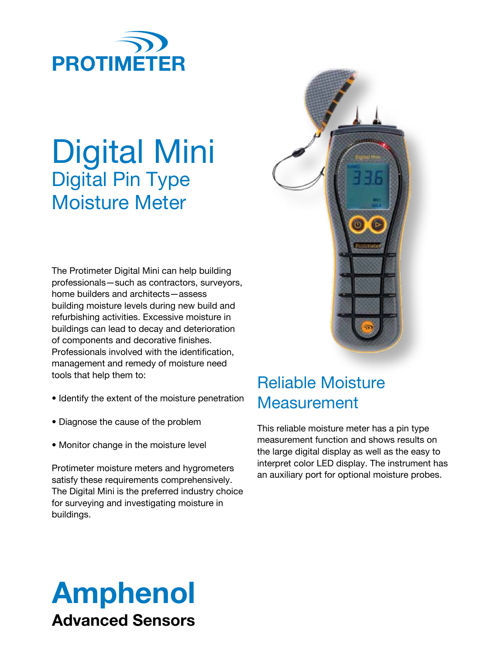

# Digital Mini Digital Pin Type Moisture Meter

The Protimeter Digital Mini can help building professionals—such as contractors, surveyors, home builders and architects—assess building moisture levels during new build and refurbishing activities. Excessive moisture in buildings can lead to decay and deterioration of components and decorative finishes. Professionals involved with the identification, management and remedy of moisture need tools that help them to:

- Identify the extent of the moisture penetration
- Diagnose the cause of the problem
- Monitor change in the moisture level

Protimeter moisture meters and hygrometers satisfy these requirements comprehensively. The Digital Mini is the preferred industry choice for surveying and investigating moisture in buildings.



### Reliable Moisture **Measurement**

This reliable moisture meter has a pin type measurement function and shows results on the large digital display as well as the easy to interpret color LED display. The instrument has an auxiliary port for optional moisture probes.

## Amphenol Advanced Sensors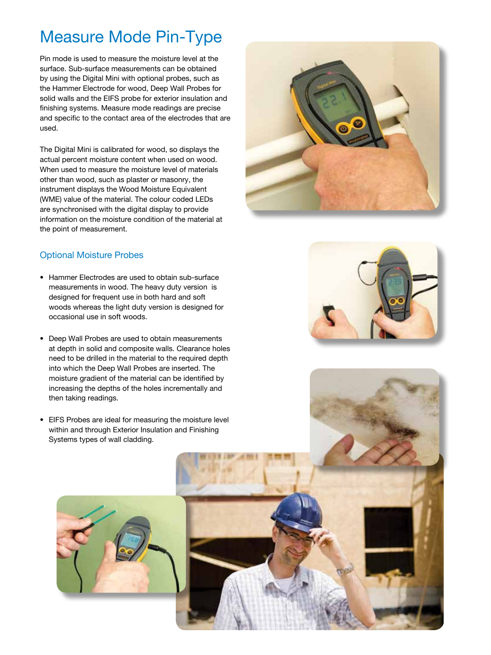## Measure Mode Pin-Type

Pin mode is used to measure the moisture level at the surface. Sub-surface measurements can be obtained by using the Digital Mini with optional probes, such as the Hammer Electrode for wood, Deep Wall Probes for solid walls and the EIFS probe for exterior insulation and finishing systems. Measure mode readings are precise and specific to the contact area of the electrodes that are used.

The Digital Mini is calibrated for wood, so displays the actual percent moisture content when used on wood. When used to measure the moisture level of materials other than wood, such as plaster or masonry, the instrument displays the Wood Moisture Equivalent (WME) value of the material. The colour coded LEDs are synchronised with the digital display to provide information on the moisture condition of the material at the point of measurement.



#### Optional Moisture Probes

- Hammer Electrodes are used to obtain sub-surface measurements in wood. The heavy duty version is designed for frequent use in both hard and soft woods whereas the light duty version is designed for occasional use in soft woods.
- Deep Wall Probes are used to obtain measurements at depth in solid and composite walls. Clearance holes need to be drilled in the material to the required depth into which the Deep Wall Probes are inserted. The moisture gradient of the material can be identified by increasing the depths of the holes incrementally and then taking readings.
- EIFS Probes are ideal for measuring the moisture level within and through Exterior Insulation and Finishing Systems types of wall cladding.



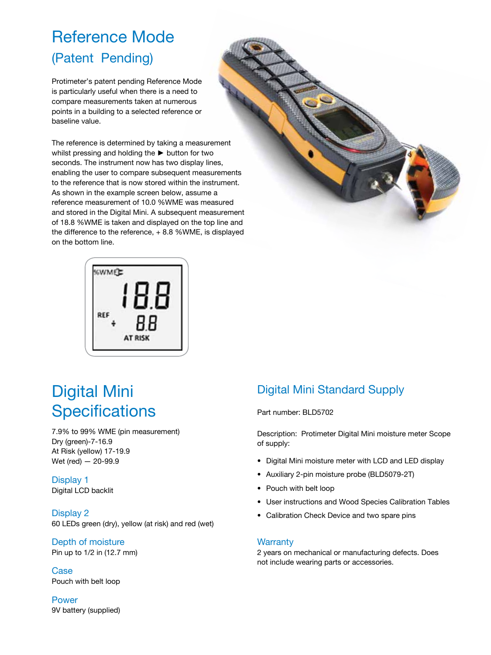## Reference Mode (Patent Pending)

Protimeter's patent pending Reference Mode is particularly useful when there is a need to compare measurements taken at numerous points in a building to a selected reference or baseline value.

The reference is determined by taking a measurement whilst pressing and holding the ► button for two seconds. The instrument now has two display lines, enabling the user to compare subsequent measurements to the reference that is now stored within the instrument. As shown in the example screen below, assume a reference measurement of 10.0 %WME was measured and stored in the Digital Mini. A subsequent measurement of 18.8 %WME is taken and displayed on the top line and the difference to the reference, + 8.8 %WME, is displayed on the bottom line.



## Digital Mini **Specifications**

7.9% to 99% WME (pin measurement) Dry (green)-7-16.9 At Risk (yellow) 17-19.9 Wet (red) — 20-99.9

#### Display 1 Digital LCD backlit

Display 2 60 LEDs green (dry), yellow (at risk) and red (wet)

#### Depth of moisture

Pin up to 1/2 in (12.7 mm)

Case Pouch with belt loop

Power 9V battery (supplied)

#### Digital Mini Standard Supply

#### Part number: BLD5702

Description: Protimeter Digital Mini moisture meter Scope of supply:

- Digital Mini moisture meter with LCD and LED display
- Auxiliary 2-pin moisture probe (BLD5079-2T)
- Pouch with belt loop
- User instructions and Wood Species Calibration Tables
- Calibration Check Device and two spare pins

#### **Warranty**

2 years on mechanical or manufacturing defects. Does not include wearing parts or accessories.